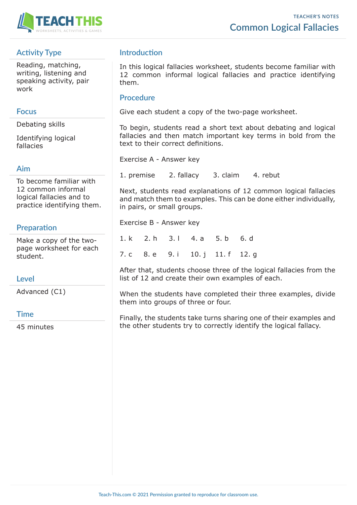

# **Activity Type**

Reading, matching, writing, listening and speaking activity, pair work

## **Focus**

Debating skills

Identifying logical fallacies

### **Aim**

To become familiar with 12 common informal logical fallacies and to practice identifying them.

# **Preparation**

Make a copy of the twopage worksheet for each student.

## **Level**

Advanced (C1)

### **Time**

45 minutes

# **Introduction**

In this logical fallacies worksheet, students become familiar with 12 common informal logical fallacies and practice identifying them.

## **Procedure**

Give each student a copy of the two-page worksheet.

To begin, students read a short text about debating and logical fallacies and then match important key terms in bold from the text to their correct definitions.

Exercise A - Answer key

1. premise 2. fallacy 3. claim 4. rebut

Next, students read explanations of 12 common logical fallacies and match them to examples. This can be done either individually, in pairs, or small groups.

Exercise B - Answer key

1. k 2. h 3. l 4. a 5. b 6. d 7. c 8. e 9. i 10. j 11. f 12. g

After that, students choose three of the logical fallacies from the list of 12 and create their own examples of each.

When the students have completed their three examples, divide them into groups of three or four.

Finally, the students take turns sharing one of their examples and the other students try to correctly identify the logical fallacy.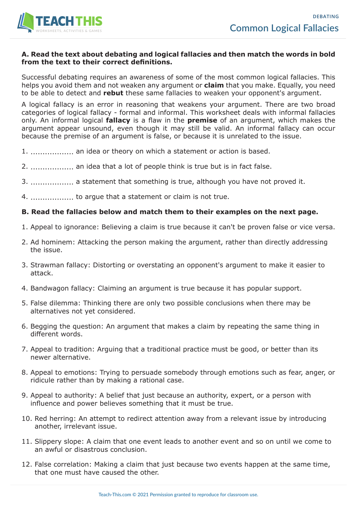

#### **A. Read the text about debating and logical fallacies and then match the words in bold from the text to their correct definitions.**

Successful debating requires an awareness of some of the most common logical fallacies. This helps you avoid them and not weaken any argument or **claim** that you make. Equally, you need to be able to detect and **rebut** these same fallacies to weaken your opponent's argument.

A logical fallacy is an error in reasoning that weakens your argument. There are two broad categories of logical fallacy - formal and informal. This worksheet deals with informal fallacies only. An informal logical **fallacy** is a flaw in the **premise** of an argument, which makes the argument appear unsound, even though it may still be valid. An informal fallacy can occur because the premise of an argument is false, or because it is unrelated to the issue.

- 1. .................. an idea or theory on which a statement or action is based.
- 2. .................. an idea that a lot of people think is true but is in fact false.
- 3. .................. a statement that something is true, although you have not proved it.
- 4. .................. to argue that a statement or claim is not true.

#### **B. Read the fallacies below and match them to their examples on the next page.**

- 1. Appeal to ignorance: Believing a claim is true because it can't be proven false or vice versa.
- 2. Ad hominem: Attacking the person making the argument, rather than directly addressing the issue.
- 3. Strawman fallacy: Distorting or overstating an opponent's argument to make it easier to attack.
- 4. Bandwagon fallacy: Claiming an argument is true because it has popular support.
- 5. False dilemma: Thinking there are only two possible conclusions when there may be alternatives not yet considered.
- 6. Begging the question: An argument that makes a claim by repeating the same thing in different words.
- 7. Appeal to tradition: Arguing that a traditional practice must be good, or better than its newer alternative.
- 8. Appeal to emotions: Trying to persuade somebody through emotions such as fear, anger, or ridicule rather than by making a rational case.
- 9. Appeal to authority: A belief that just because an authority, expert, or a person with influence and power believes something that it must be true.
- 10. Red herring: An attempt to redirect attention away from a relevant issue by introducing another, irrelevant issue.
- 11. Slippery slope: A claim that one event leads to another event and so on until we come to an awful or disastrous conclusion.
- 12. False correlation: Making a claim that just because two events happen at the same time, that one must have caused the other.